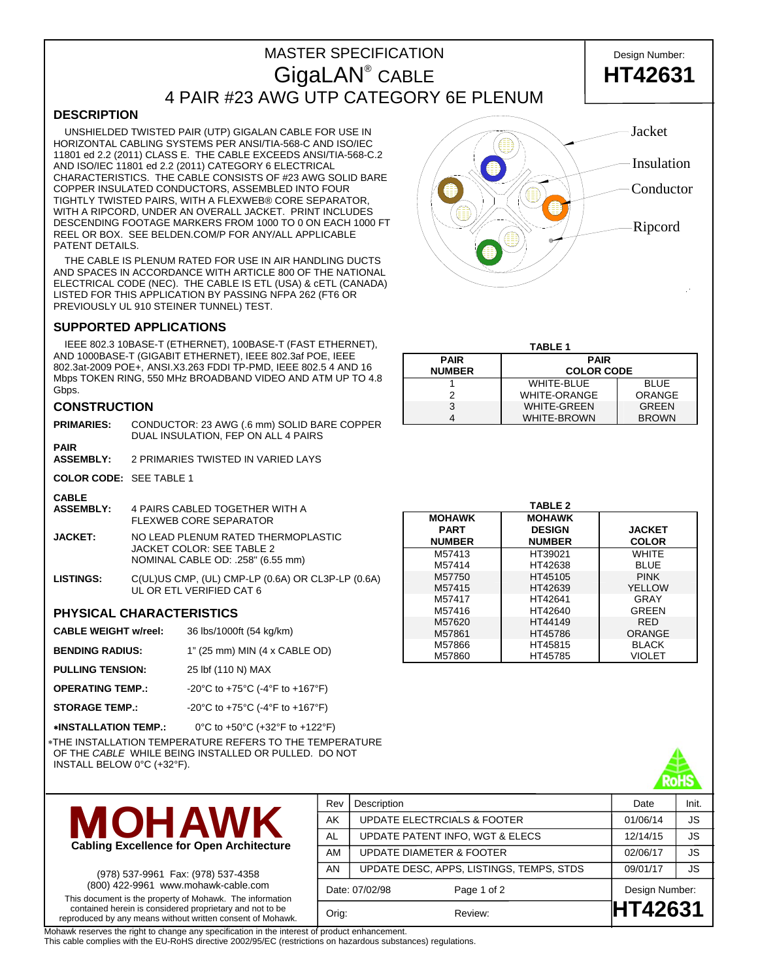# MASTER SPECIFICATION Design Number: GigaLAN® 4 PAIR #23 AWG UTP CATEGORY 6E PLENUM

## **DESCRIPTION**

 UNSHIELDED TWISTED PAIR (UTP) GIGALAN CABLE FOR USE IN HORIZONTAL CABLING SYSTEMS PER ANSI/TIA-568-C AND ISO/IEC 11801 ed 2.2 (2011) CLASS E. THE CABLE EXCEEDS ANSI/TIA-568-C.2 AND ISO/IEC 11801 ed 2.2 (2011) CATEGORY 6 ELECTRICAL CHARACTERISTICS. THE CABLE CONSISTS OF #23 AWG SOLID BARE COPPER INSULATED CONDUCTORS, ASSEMBLED INTO FOUR TIGHTLY TWISTED PAIRS, WITH A FLEXWEB® CORE SEPARATOR, WITH A RIPCORD, UNDER AN OVERALL JACKET. PRINT INCLUDES DESCENDING FOOTAGE MARKERS FROM 1000 TO 0 ON EACH 1000 FT REEL OR BOX. SEE BELDEN.COM/P FOR ANY/ALL APPLICABLE PATENT DETAILS.

 THE CABLE IS PLENUM RATED FOR USE IN AIR HANDLING DUCTS AND SPACES IN ACCORDANCE WITH ARTICLE 800 OF THE NATIONAL ELECTRICAL CODE (NEC). THE CABLE IS ETL (USA) & cETL (CANADA) LISTED FOR THIS APPLICATION BY PASSING NFPA 262 (FT6 OR PREVIOUSLY UL 910 STEINER TUNNEL) TEST.

### **SUPPORTED APPLICATIONS**

 IEEE 802.3 10BASE-T (ETHERNET), 100BASE-T (FAST ETHERNET), AND 1000BASE-T (GIGABIT ETHERNET), IEEE 802.3af POE, IEEE 802.3at-2009 POE+, ANSI.X3.263 FDDI TP-PMD, IEEE 802.5 4 AND 16 Mbps TOKEN RING, 550 MHz BROADBAND VIDEO AND ATM UP TO 4.8 Gbps.

### **CONSTRUCTION**

| <b>PRIMARIES:</b> | CONDUCTOR: 23 AWG (.6 mm) SOLID BARE COPPER<br>DUAL INSULATION, FEP ON ALL 4 PAIRS |
|-------------------|------------------------------------------------------------------------------------|
| ---               |                                                                                    |

**PAIR ASSEMBLY:** 2 PRIMARIES TWISTED IN VARIED LAYS

**COLOR CODE:** SEE TABLE 1

- **CABLE 4 PAIRS CABLED TOGETHER WITH A** FLEXWEB CORE SEPARATOR
- **JACKET:** NO LEAD PLENUM RATED THERMOPLASTIC JACKET COLOR: SEE TABLE 2 NOMINAL CABLE OD: .258" (6.55 mm)
- **LISTINGS:** C(UL)US CMP, (UL) CMP-LP (0.6A) OR CL3P-LP (0.6A) UL OR ETL VERIFIED CAT 6

### **PHYSICAL CHARACTERISTICS**

| <b>CABLE WEIGHT w/reel:</b> | 36 lbs/1000ft (54 kg/km)        |
|-----------------------------|---------------------------------|
| <b>BENDING RADIUS:</b>      | 1" (25 mm) MIN (4 x CABLE OD)   |
| <b>PULLING TENSION:</b>     | 25 lbf (110 N) MAX              |
| <b>OPERATING TEMP.:</b>     | -20°C to +75°C (-4°F to +167°F) |

**STORAGE TEMP.:** -20°C to +75°C (-4°F to +167°F)

∗**INSTALLATION TEMP.:** 0°C to +50°C (+32°F to +122°F) ∗THE INSTALLATION TEMPERATURE REFERS TO THE TEMPERATURE OF THE *CABLE* WHILE BEING INSTALLED OR PULLED. DO NOT INSTALL BELOW 0°C (+32°F).



(978) 537-9961 Fax: (978) 537-4358 (800) 422-9961 www.mohawk-cable.com This document is the property of Mohawk. The information contained herein is considered proprietary and not to be reproduced by any means without written consent of Mohawk.

Rev Description **Date** Init. AK UPDATE ELECTRCIALS & FOOTER 01/06/14 JS AL UPDATE PATENT INFO, WGT & ELECS  $\vert$  12/14/15  $\vert$  JS AM UPDATE DIAMETER & FOOTER  $\vert$  02/06/17  $\vert$  JS AN | UPDATE DESC, APPS, LISTINGS, TEMPS, STDS | 09/01/17 | JS Date: 07/02/98 Page 1 of 2 Design Number: Orig: Review: **HT42631**

Mohawk reserves the right to change any specification in the interest of product enhancement.

This cable complies with the EU-RoHS directive 2002/95/EC (restrictions on hazardous substances) regulations.

| Jacket     |
|------------|
| Insulation |
| Conductor  |
| Ripcord    |
|            |

### **TABLE 1 PAIR NUMBER PAIR COLOR CODE**  1 WHITE-BLUE BLUE 2 | WHITE-ORANGE | ORANGE 3 WHITE-GREEN GREEN 4 WHITE-BROWN BROWN

|               | <b>TABLE 2</b> |               |
|---------------|----------------|---------------|
| <b>MOHAWK</b> | <b>MOHAWK</b>  |               |
| <b>PART</b>   | <b>DESIGN</b>  | <b>JACKET</b> |
| <b>NUMBER</b> | <b>NUMBER</b>  | <b>COLOR</b>  |
| M57413        | HT39021        | WHITF         |
| M57414        | HT42638        | <b>BLUE</b>   |
| M57750        | HT45105        | <b>PINK</b>   |
| M57415        | HT42639        | <b>YELLOW</b> |
| M57417        | HT42641        | GRAY          |
| M57416        | HT42640        | <b>GREEN</b>  |
| M57620        | HT44149        | <b>RED</b>    |
| M57861        | HT45786        | ORANGE        |
| M57866        | HT45815        | <b>BLACK</b>  |
| M57860        | HT45785        | VIOLET        |